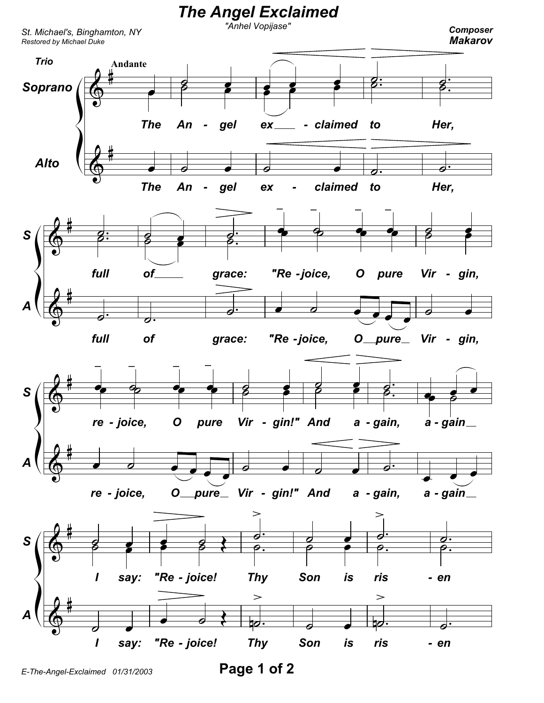

E-The-Angel-Exclaimed 01/31/2003

Page 1 of 2